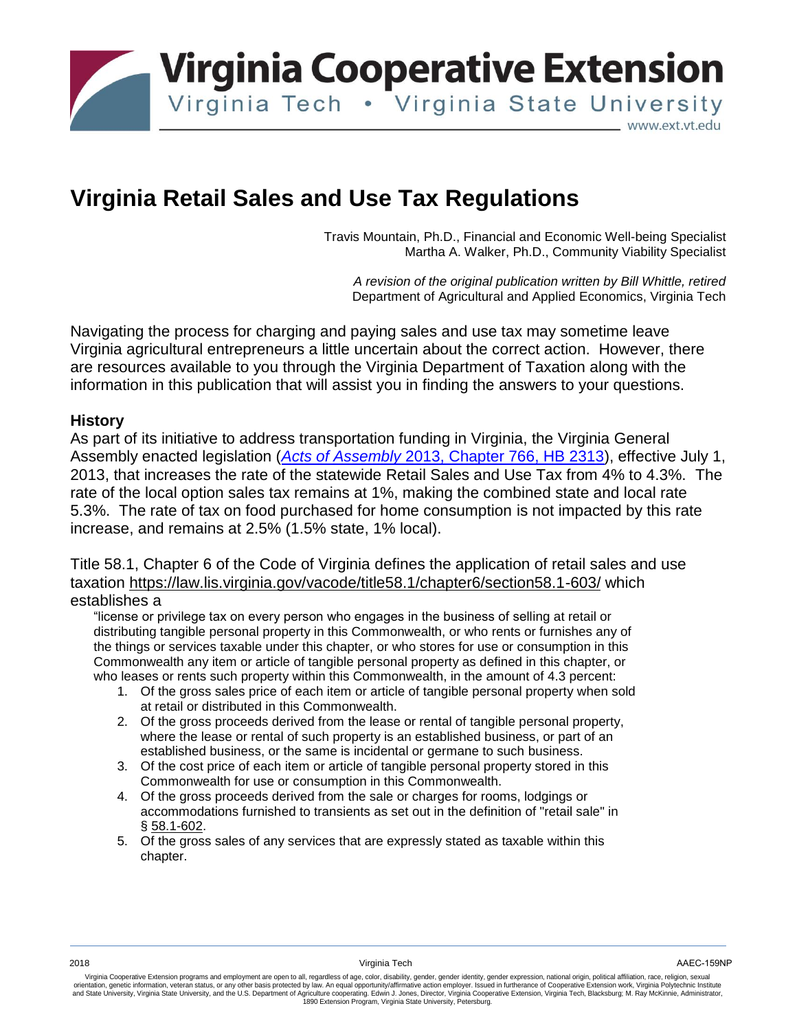

# **Virginia Retail Sales and Use Tax Regulations**

Travis Mountain, Ph.D., Financial and Economic Well-being Specialist Martha A. Walker, Ph.D., Community Viability Specialist

*A revision of the original publication written by Bill Whittle, retired* Department of Agricultural and Applied Economics, Virginia Tech

Navigating the process for charging and paying sales and use tax may sometime leave Virginia agricultural entrepreneurs a little uncertain about the correct action. However, there are resources available to you through the Virginia Department of Taxation along with the information in this publication that will assist you in finding the answers to your questions.

#### **History**

As part of its initiative to address transportation funding in Virginia, the Virginia General Assembly enacted legislation (*Acts of Assembly* [2013, Chapter 766, HB 2313\)](http://leg1.state.va.us/cgi-bin/legp504.exe?ses=131&typ=bil&val=hb2313), effective July 1, 2013, that increases the rate of the statewide Retail Sales and Use Tax from 4% to 4.3%. The rate of the local option sales tax remains at 1%, making the combined state and local rate 5.3%. The rate of tax on food purchased for home consumption is not impacted by this rate increase, and remains at 2.5% (1.5% state, 1% local).

Title 58.1, Chapter 6 of the Code of Virginia defines the application of retail sales and use taxation<https://law.lis.virginia.gov/vacode/title58.1/chapter6/section58.1-603/> which establishes a

"license or privilege tax on every person who engages in the business of selling at retail or distributing tangible personal property in this Commonwealth, or who rents or furnishes any of the things or services taxable under this chapter, or who stores for use or consumption in this Commonwealth any item or article of tangible personal property as defined in this chapter, or who leases or rents such property within this Commonwealth, in the amount of 4.3 percent:

- 1. Of the gross sales price of each item or article of tangible personal property when sold at retail or distributed in this Commonwealth.
- 2. Of the gross proceeds derived from the lease or rental of tangible personal property, where the lease or rental of such property is an established business, or part of an established business, or the same is incidental or germane to such business.
- 3. Of the cost price of each item or article of tangible personal property stored in this Commonwealth for use or consumption in this Commonwealth.
- 4. Of the gross proceeds derived from the sale or charges for rooms, lodgings or accommodations furnished to transients as set out in the definition of "retail sale" in § [58.1-602.](http://law.lis.virginia.gov/vacode/58.1-602/)
- 5. Of the gross sales of any services that are expressly stated as taxable within this chapter.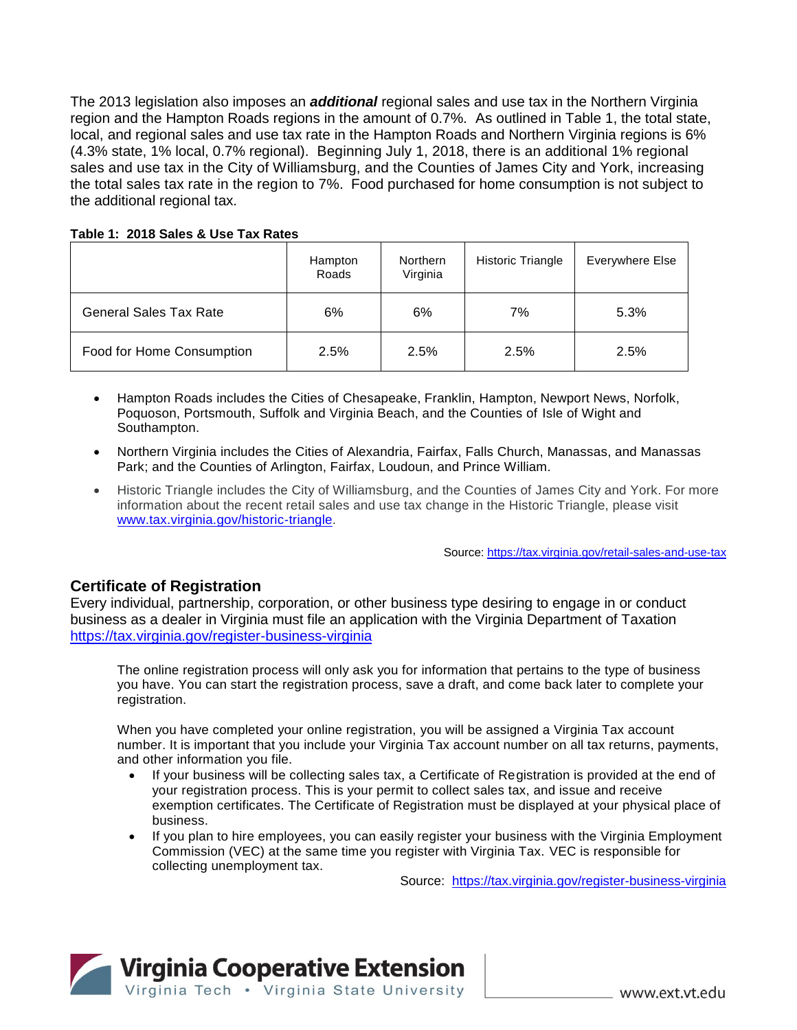The 2013 legislation also imposes an *additional* regional sales and use tax in the Northern Virginia region and the Hampton Roads regions in the amount of 0.7%. As outlined in Table 1, the total state, local, and regional sales and use tax rate in the Hampton Roads and Northern Virginia regions is 6% (4.3% state, 1% local, 0.7% regional). Beginning July 1, 2018, there is an additional 1% regional sales and use tax in the City of Williamsburg, and the Counties of James City and York, increasing the total sales tax rate in the region to 7%. Food purchased for home consumption is not subject to the additional regional tax.

#### **Table 1: 2018 Sales & Use Tax Rates**

|                               | Hampton<br>Roads | Northern<br>Virginia | Historic Triangle | Everywhere Else |
|-------------------------------|------------------|----------------------|-------------------|-----------------|
| <b>General Sales Tax Rate</b> | 6%               | 6%                   | 7%                | 5.3%            |
| Food for Home Consumption     | 2.5%             | 2.5%                 | 2.5%              | 2.5%            |

- Hampton Roads includes the Cities of Chesapeake, Franklin, Hampton, Newport News, Norfolk, Poquoson, Portsmouth, Suffolk and Virginia Beach, and the Counties of Isle of Wight and Southampton.
- Northern Virginia includes the Cities of Alexandria, Fairfax, Falls Church, Manassas, and Manassas Park; and the Counties of Arlington, Fairfax, Loudoun, and Prince William.
- Historic Triangle includes the City of Williamsburg, and the Counties of James City and York. For more information about the recent retail sales and use tax change in the Historic Triangle, please visit [www.tax.virginia.gov/historic-triangle.](https://tax.virginia.gov/historic-triangle)

Source[: https://tax.virginia.gov/retail-sales-and-use-tax](https://tax.virginia.gov/retail-sales-and-use-tax)

### **Certificate of Registration**

Every individual, partnership, corporation, or other business type desiring to engage in or conduct business as a dealer in Virginia must file an application with the Virginia Department of Taxation <https://tax.virginia.gov/register-business-virginia>

The online registration process will only ask you for information that pertains to the type of business you have. You can start the registration process, save a draft, and come back later to complete your registration.

When you have completed your online registration, you will be assigned a Virginia Tax account number. It is important that you include your Virginia Tax account number on all tax returns, payments, and other information you file.

- If your business will be collecting sales tax, a Certificate of Registration is provided at the end of your registration process. This is your permit to collect sales tax, and issue and receive exemption certificates. The Certificate of Registration must be displayed at your physical place of business.
- If you plan to hire employees, you can easily register your business with the Virginia Employment Commission (VEC) at the same time you register with Virginia Tax. VEC is responsible for collecting unemployment tax.

Source: <https://tax.virginia.gov/register-business-virginia>

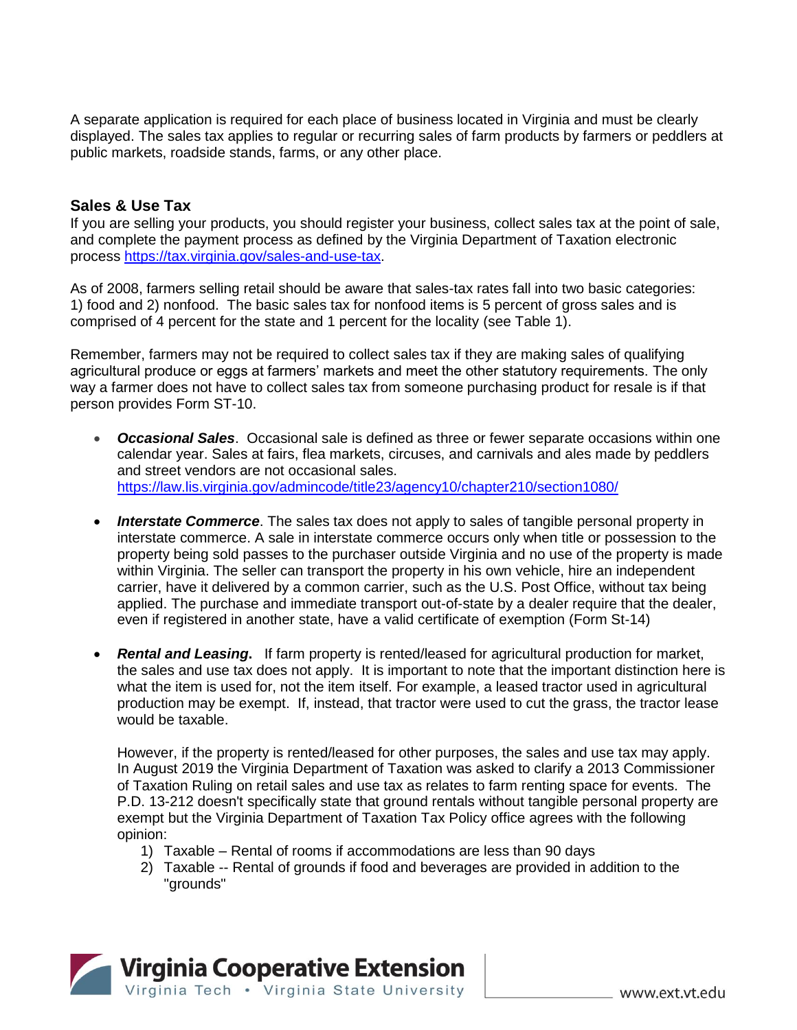A separate application is required for each place of business located in Virginia and must be clearly displayed. The sales tax applies to regular or recurring sales of farm products by farmers or peddlers at public markets, roadside stands, farms, or any other place.

#### **Sales & Use Tax**

If you are selling your products, you should register your business, collect sales tax at the point of sale, and complete the payment process as defined by the Virginia Department of Taxation electronic process [https://tax.virginia.gov/sales-and-use-tax.](https://tax.virginia.gov/sales-and-use-tax)

As of 2008, farmers selling retail should be aware that sales-tax rates fall into two basic categories: 1) food and 2) nonfood. The basic sales tax for nonfood items is 5 percent of gross sales and is comprised of 4 percent for the state and 1 percent for the locality (see Table 1).

Remember, farmers may not be required to collect sales tax if they are making sales of qualifying agricultural produce or eggs at farmers' markets and meet the other statutory requirements. The only way a farmer does not have to collect sales tax from someone purchasing product for resale is if that person provides Form ST-10.

- *Occasional Sales*. Occasional sale is defined as three or fewer separate occasions within one calendar year. Sales at fairs, flea markets, circuses, and carnivals and ales made by peddlers and street vendors are not occasional sales. <https://law.lis.virginia.gov/admincode/title23/agency10/chapter210/section1080/>
- *Interstate Commerce*. The sales tax does not apply to sales of tangible personal property in interstate commerce. A sale in interstate commerce occurs only when title or possession to the property being sold passes to the purchaser outside Virginia and no use of the property is made within Virginia. The seller can transport the property in his own vehicle, hire an independent carrier, have it delivered by a common carrier, such as the U.S. Post Office, without tax being applied. The purchase and immediate transport out-of-state by a dealer require that the dealer, even if registered in another state, have a valid certificate of exemption (Form St-14)
- *Rental and Leasing***.** If farm property is rented/leased for agricultural production for market, the sales and use tax does not apply. It is important to note that the important distinction here is what the item is used for, not the item itself. For example, a leased tractor used in agricultural production may be exempt. If, instead, that tractor were used to cut the grass, the tractor lease would be taxable.

However, if the property is rented/leased for other purposes, the sales and use tax may apply. In August 2019 the Virginia Department of Taxation was asked to clarify a 2013 Commissioner of Taxation Ruling on retail sales and use tax as relates to farm renting space for events. The P.D. 13-212 doesn't specifically state that ground rentals without tangible personal property are exempt but the Virginia Department of Taxation Tax Policy office agrees with the following opinion:

- 1) Taxable Rental of rooms if accommodations are less than 90 days
- 2) Taxable -- Rental of grounds if food and beverages are provided in addition to the "grounds"

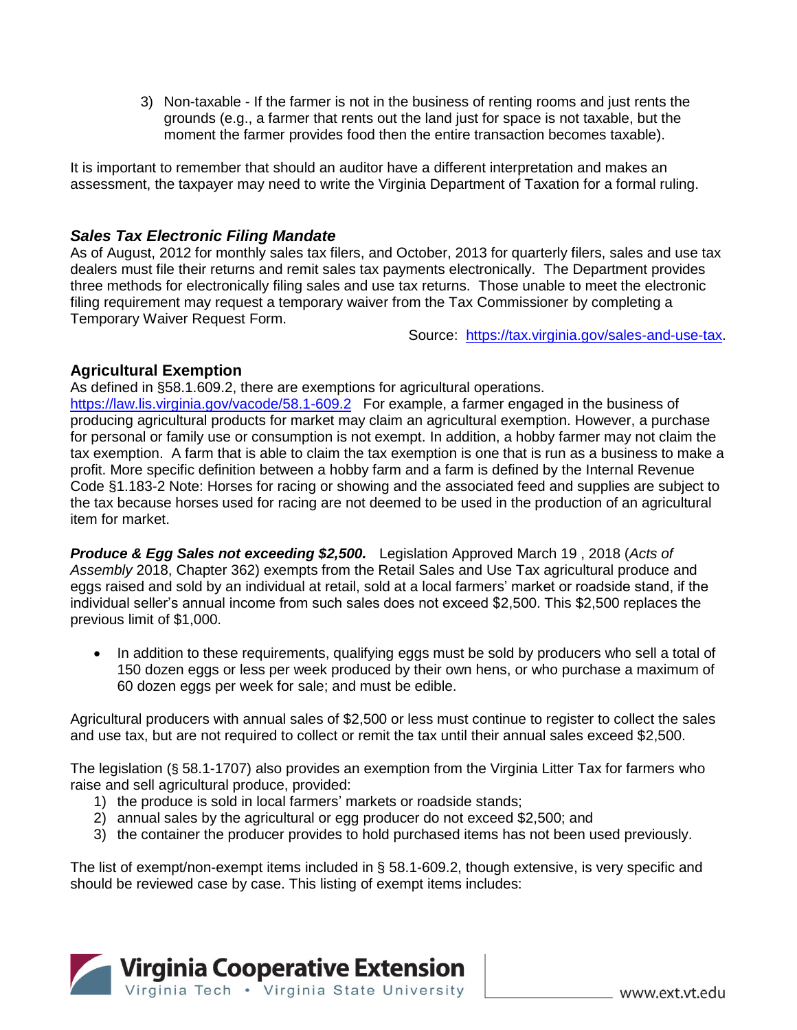3) Non-taxable - If the farmer is not in the business of renting rooms and just rents the grounds (e.g., a farmer that rents out the land just for space is not taxable, but the moment the farmer provides food then the entire transaction becomes taxable).

It is important to remember that should an auditor have a different interpretation and makes an assessment, the taxpayer may need to write the Virginia Department of Taxation for a formal ruling.

## *Sales Tax Electronic Filing Mandate*

As of August, 2012 for monthly sales tax filers, and October, 2013 for quarterly filers, sales and use tax dealers must file their returns and remit sales tax payments electronically. The Department provides three methods for electronically filing sales and use tax returns. Those unable to meet the electronic filing requirement may request a temporary waiver from the Tax Commissioner by completing a Temporary Waiver Request Form.

Source: [https://tax.virginia.gov/sales-and-use-tax.](https://tax.virginia.gov/sales-and-use-tax)

# **Agricultural Exemption**

As defined in §58.1.609.2, there are exemptions for agricultural operations.

<https://law.lis.virginia.gov/vacode/58.1-609.2>For example, a farmer engaged in the business of producing agricultural products for market may claim an agricultural exemption. However, a purchase for personal or family use or consumption is not exempt. In addition, a hobby farmer may not claim the tax exemption. A farm that is able to claim the tax exemption is one that is run as a business to make a profit. More specific definition between a hobby farm and a farm is defined by the Internal Revenue Code §1.183-2 Note: Horses for racing or showing and the associated feed and supplies are subject to the tax because horses used for racing are not deemed to be used in the production of an agricultural item for market.

*Produce & Egg Sales not exceeding \$2,500.*Legislation Approved March 19 , 2018 (*Acts of Assembly* 2018, Chapter 362) exempts from the Retail Sales and Use Tax agricultural produce and eggs raised and sold by an individual at retail, sold at a local farmers' market or roadside stand, if the individual seller's annual income from such sales does not exceed \$2,500. This \$2,500 replaces the previous limit of \$1,000.

 In addition to these requirements, qualifying eggs must be sold by producers who sell a total of 150 dozen eggs or less per week produced by their own hens, or who purchase a maximum of 60 dozen eggs per week for sale; and must be edible.

Agricultural producers with annual sales of \$2,500 or less must continue to register to collect the sales and use tax, but are not required to collect or remit the tax until their annual sales exceed \$2,500.

The legislation (§ 58.1-1707) also provides an exemption from the Virginia Litter Tax for farmers who raise and sell agricultural produce, provided:

- 1) the produce is sold in local farmers' markets or roadside stands;
- 2) annual sales by the agricultural or egg producer do not exceed \$2,500; and
- 3) the container the producer provides to hold purchased items has not been used previously.

The list of exempt/non-exempt items included in § 58.1-609.2, though extensive, is very specific and should be reviewed case by case. This listing of exempt items includes:

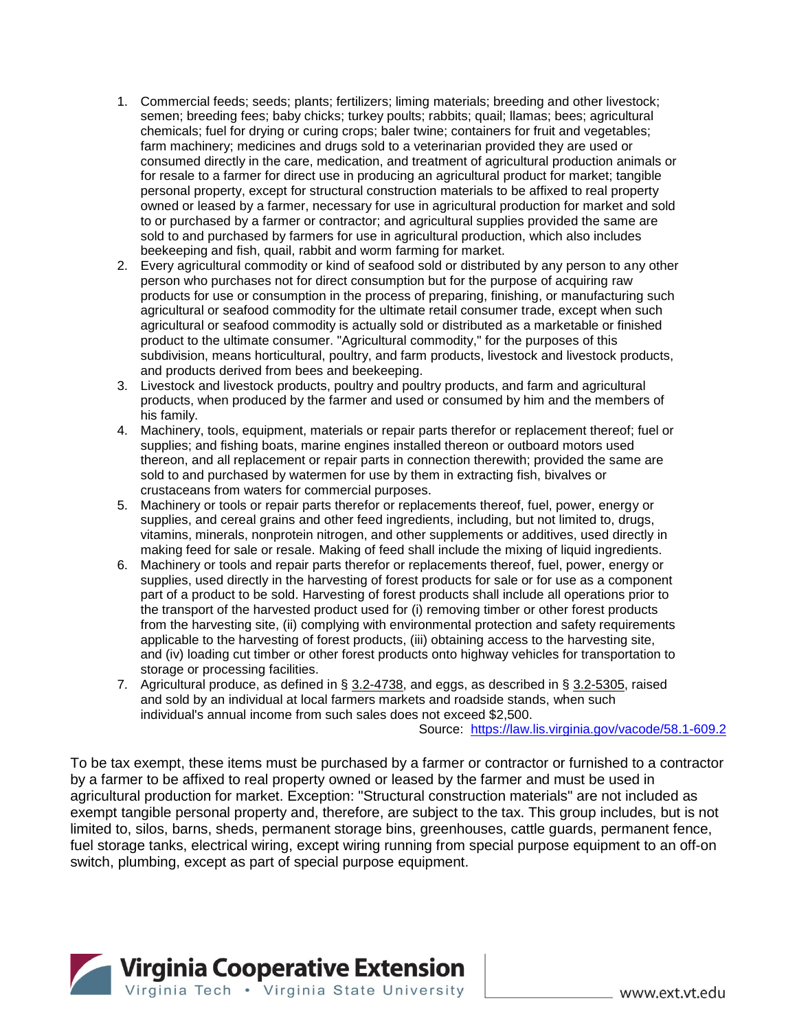- 1. Commercial feeds; seeds; plants; fertilizers; liming materials; breeding and other livestock; semen; breeding fees; baby chicks; turkey poults; rabbits; quail; llamas; bees; agricultural chemicals; fuel for drying or curing crops; baler twine; containers for fruit and vegetables; farm machinery; medicines and drugs sold to a veterinarian provided they are used or consumed directly in the care, medication, and treatment of agricultural production animals or for resale to a farmer for direct use in producing an agricultural product for market; tangible personal property, except for structural construction materials to be affixed to real property owned or leased by a farmer, necessary for use in agricultural production for market and sold to or purchased by a farmer or contractor; and agricultural supplies provided the same are sold to and purchased by farmers for use in agricultural production, which also includes beekeeping and fish, quail, rabbit and worm farming for market.
- 2. Every agricultural commodity or kind of seafood sold or distributed by any person to any other person who purchases not for direct consumption but for the purpose of acquiring raw products for use or consumption in the process of preparing, finishing, or manufacturing such agricultural or seafood commodity for the ultimate retail consumer trade, except when such agricultural or seafood commodity is actually sold or distributed as a marketable or finished product to the ultimate consumer. "Agricultural commodity," for the purposes of this subdivision, means horticultural, poultry, and farm products, livestock and livestock products, and products derived from bees and beekeeping.
- 3. Livestock and livestock products, poultry and poultry products, and farm and agricultural products, when produced by the farmer and used or consumed by him and the members of his family.
- 4. Machinery, tools, equipment, materials or repair parts therefor or replacement thereof; fuel or supplies; and fishing boats, marine engines installed thereon or outboard motors used thereon, and all replacement or repair parts in connection therewith; provided the same are sold to and purchased by watermen for use by them in extracting fish, bivalves or crustaceans from waters for commercial purposes.
- 5. Machinery or tools or repair parts therefor or replacements thereof, fuel, power, energy or supplies, and cereal grains and other feed ingredients, including, but not limited to, drugs, vitamins, minerals, nonprotein nitrogen, and other supplements or additives, used directly in making feed for sale or resale. Making of feed shall include the mixing of liquid ingredients.
- 6. Machinery or tools and repair parts therefor or replacements thereof, fuel, power, energy or supplies, used directly in the harvesting of forest products for sale or for use as a component part of a product to be sold. Harvesting of forest products shall include all operations prior to the transport of the harvested product used for (i) removing timber or other forest products from the harvesting site, (ii) complying with environmental protection and safety requirements applicable to the harvesting of forest products, (iii) obtaining access to the harvesting site, and (iv) loading cut timber or other forest products onto highway vehicles for transportation to storage or processing facilities.
- 7. Agricultural produce, as defined in § [3.2-4738,](https://law.lis.virginia.gov/vacode/3.2-4738/) and eggs, as described in § [3.2-5305,](https://law.lis.virginia.gov/vacode/3.2-5305/) raised and sold by an individual at local farmers markets and roadside stands, when such individual's annual income from such sales does not exceed \$2,500.

Source: <https://law.lis.virginia.gov/vacode/58.1-609.2>

To be tax exempt, these items must be purchased by a farmer or contractor or furnished to a contractor by a farmer to be affixed to real property owned or leased by the farmer and must be used in agricultural production for market. Exception: "Structural construction materials" are not included as exempt tangible personal property and, therefore, are subject to the tax. This group includes, but is not limited to, silos, barns, sheds, permanent storage bins, greenhouses, cattle guards, permanent fence, fuel storage tanks, electrical wiring, except wiring running from special purpose equipment to an off-on switch, plumbing, except as part of special purpose equipment.